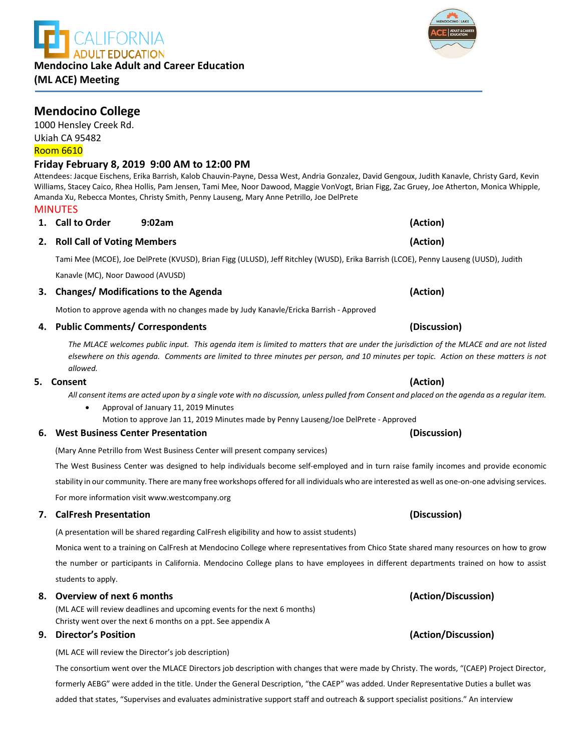# **Mendocino College**

1000 Hensley Creek Rd. Ukiah CA 95482 Room 6610

### **Friday February 8, 2019 9:00 AM to 12:00 PM**

Attendees: Jacque Eischens, Erika Barrish, Kalob Chauvin-Payne, Dessa West, Andria Gonzalez, David Gengoux, Judith Kanavle, Christy Gard, Kevin Williams, Stacey Caico, Rhea Hollis, Pam Jensen, Tami Mee, Noor Dawood, Maggie VonVogt, Brian Figg, Zac Gruey, Joe Atherton, Monica Whipple, Amanda Xu, Rebecca Montes, Christy Smith, Penny Lauseng, Mary Anne Petrillo, Joe DelPrete MINUTES

**2. Roll Call of Voting Members (Action)** Tami Mee (MCOE), Joe DelPrete (KVUSD), Brian Figg (ULUSD), Jeff Ritchley (WUSD), Erika Barrish (LCOE), Penny Lauseng (UUSD), Judith Kanavle (MC), Noor Dawood (AVUSD)

## Motion to approve agenda with no changes made by Judy Kanavle/Ericka Barrish - Approved

**1. Call to Order 9:02am (Action)**

**3. Changes/ Modifications to the Agenda (Action)**

### **4. Public Comments/ Correspondents (Discussion)**

*The MLACE welcomes public input. This agenda item is limited to matters that are under the jurisdiction of the MLACE and are not listed elsewhere on this agenda. Comments are limited to three minutes per person, and 10 minutes per topic. Action on these matters is not allowed.*

### **5. Consent (Action)**

*All consent items are acted upon by a single vote with no discussion, unless pulled from Consent and placed on the agenda as a regular item.* 

• Approval of January 11, 2019 Minutes Motion to approve Jan 11, 2019 Minutes made by Penny Lauseng/Joe DelPrete - Approved

### **6. West Business Center Presentation (Discussion)**

(Mary Anne Petrillo from West Business Center will present company services) The West Business Center was designed to help individuals become self-employed and in turn raise family incomes and provide economic stability in our community. There are many free workshops offered for all individuals who are interested as well as one-on-one advising services. For more information visit www.westcompany.org

### **7. CalFresh Presentation (Discussion)**

(A presentation will be shared regarding CalFresh eligibility and how to assist students) Monica went to a training on CalFresh at Mendocino College where representatives from Chico State shared many resources on how to grow the number or participants in California. Mendocino College plans to have employees in different departments trained on how to assist students to apply.

### **8. Overview of next 6 months (Action/Discussion)**

(ML ACE will review deadlines and upcoming events for the next 6 months) Christy went over the next 6 months on a ppt. See appendix A

### **9. Director's Position (Action/Discussion)**

(ML ACE will review the Director's job description)

The consortium went over the MLACE Directors job description with changes that were made by Christy. The words, "(CAEP) Project Director, formerly AEBG" were added in the title. Under the General Description, "the CAEP" was added. Under Representative Duties a bullet was added that states, "Supervises and evaluates administrative support staff and outreach & support specialist positions." An interview